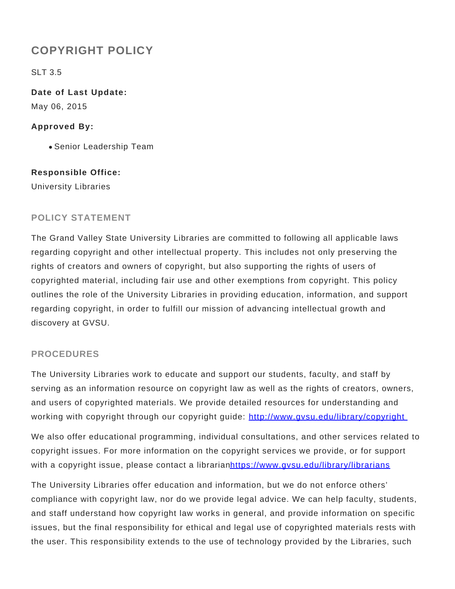# **COPYRIGHT POLICY**

SLT 3.5

**Date of Last Update:** May 06, 2015

#### **Approved By:**

Senior Leadership Team

#### **Responsible Office:**

University Libraries

## **POLICY STATEMENT**

The Grand Valley State University Libraries are committed to following all applicable laws regarding copyright and other intellectual property. This includes not only preserving the rights of creators and owners of copyright, but also supporting the rights of users of copyrighted material, including fair use and other exemptions from copyright. This policy outlines the role of the University Libraries in providing education, information, and support regarding copyright, in order to fulfill our mission of advancing intellectual growth and discovery at GVSU.

### **PROCEDURES**

The University Libraries work to educate and support our students, faculty, and staff by serving as an information resource on copyright law as well as the rights of creators, owners, and users of copyrighted materials. We provide detailed resources for understanding and working with copyright through our copyright guide: http://www.gvsu.edu/library/copyright

We also offer educational programming, individual consultations, and other services related to copyright issues. For more information on the copyright services we provide, or for support with a copyright issue, please contact a librarianhttps://www.gvsu.edu/library/librarians

The University Libraries offer education and information, but we do not enforce others' compliance with copyright law, nor do we provide legal advice. We can help faculty, students, and staff understand how copyright law works in general, and provide information on specific issues, but the final responsibility for ethical and legal use of copyrighted materials rests with the user. This responsibility extends to the use of technology provided by the Libraries, such